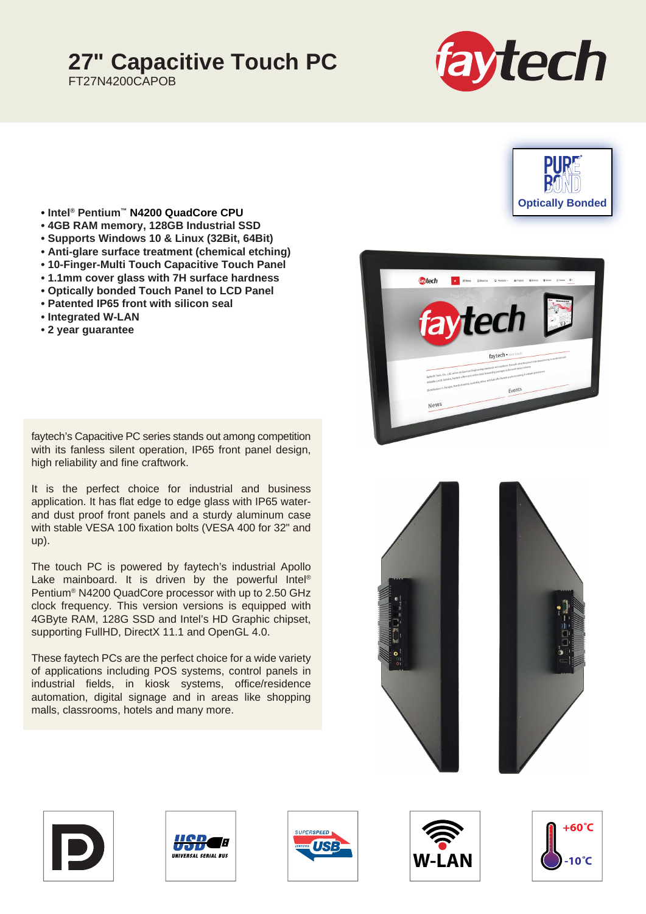## **27" Capacitive Touch PC**

FT27N4200CAPOB





- **Intel® Pentium™ N4200 QuadCore CPU**
- **4GB RAM memory, 128GB Industrial SSD**
- **Supports Windows 10 & Linux (32Bit, 64Bit)**
- **Anti-glare surface treatment (chemical etching)**
- **10-Finger-Multi Touch Capacitive Touch Panel**
- **1.1mm cover glass with 7H surface hardness**
- **Optically bonded Touch Panel to LCD Panel**
- **Patented IP65 front with silicon seal**
- **Integrated W-LAN**
- **2 year guarantee**

faytech's Capacitive PC series stands out among competition with its fanless silent operation, IP65 front panel design, high reliability and fine craftwork.

It is the perfect choice for industrial and business application. It has flat edge to edge glass with IP65 waterand dust proof front panels and a sturdy aluminum case with stable VESA 100 fixation bolts (VESA 400 for 32" and up).

The touch PC is powered by faytech's industrial Apollo Lake mainboard. It is driven by the powerful Intel<sup>®</sup> Pentium® N4200 QuadCore processor with up to 2.50 GHz clock frequency. This version versions is equipped with 4GByte RAM, 128G SSD and Intel's HD Graphic chipset, supporting FullHD, DirectX 11.1 and OpenGL 4.0.

These faytech PCs are the perfect choice for a wide variety of applications including POS systems, control panels in industrial fields, in kiosk systems, office/residence automation, digital signage and in areas like shopping malls, classrooms, hotels and many more.